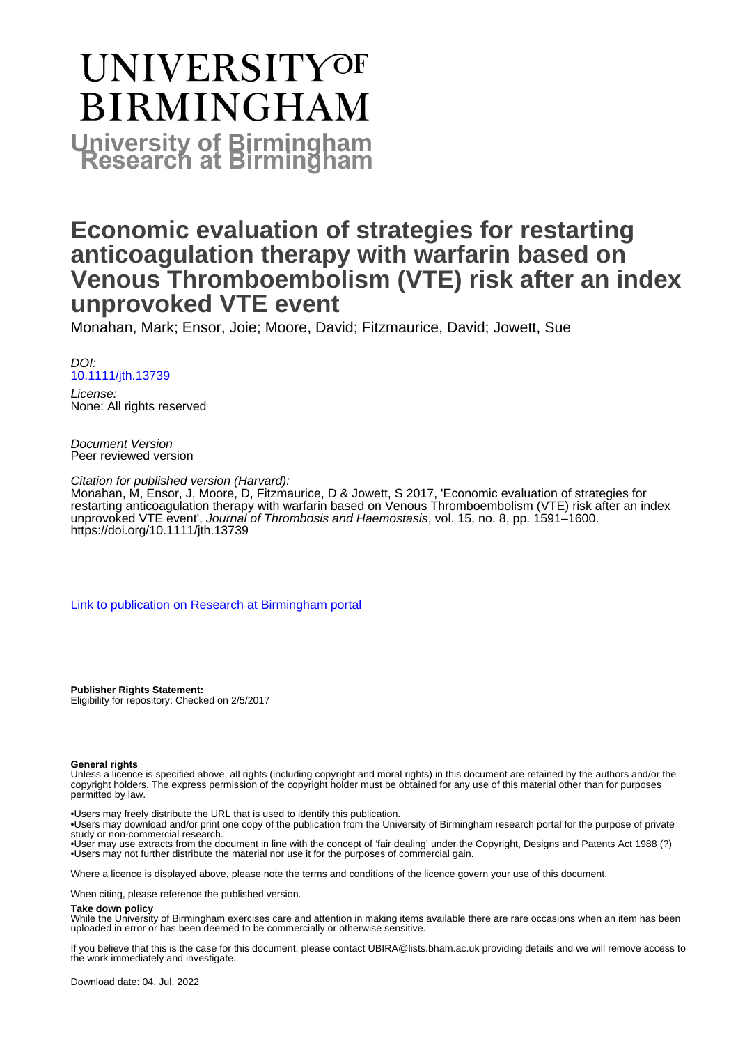# **UNIVERSITYOF BIRMINGHAM University of Birmingham**

# **Economic evaluation of strategies for restarting anticoagulation therapy with warfarin based on Venous Thromboembolism (VTE) risk after an index unprovoked VTE event**

Monahan, Mark; Ensor, Joie; Moore, David; Fitzmaurice, David; Jowett, Sue

DOI: [10.1111/jth.13739](https://doi.org/10.1111/jth.13739)

License: None: All rights reserved

Document Version Peer reviewed version

Citation for published version (Harvard):

Monahan, M, Ensor, J, Moore, D, Fitzmaurice, D & Jowett, S 2017, 'Economic evaluation of strategies for restarting anticoagulation therapy with warfarin based on Venous Thromboembolism (VTE) risk after an index unprovoked VTE event', Journal of Thrombosis and Haemostasis, vol. 15, no. 8, pp. 1591–1600. <https://doi.org/10.1111/jth.13739>

[Link to publication on Research at Birmingham portal](https://birmingham.elsevierpure.com/en/publications/b5c59cfe-2f6c-4077-9344-54ea9434250d)

**Publisher Rights Statement:** Eligibility for repository: Checked on 2/5/2017

#### **General rights**

Unless a licence is specified above, all rights (including copyright and moral rights) in this document are retained by the authors and/or the copyright holders. The express permission of the copyright holder must be obtained for any use of this material other than for purposes permitted by law.

• Users may freely distribute the URL that is used to identify this publication.

• Users may download and/or print one copy of the publication from the University of Birmingham research portal for the purpose of private study or non-commercial research.

• User may use extracts from the document in line with the concept of 'fair dealing' under the Copyright, Designs and Patents Act 1988 (?) • Users may not further distribute the material nor use it for the purposes of commercial gain.

Where a licence is displayed above, please note the terms and conditions of the licence govern your use of this document.

When citing, please reference the published version.

#### **Take down policy**

While the University of Birmingham exercises care and attention in making items available there are rare occasions when an item has been uploaded in error or has been deemed to be commercially or otherwise sensitive.

If you believe that this is the case for this document, please contact UBIRA@lists.bham.ac.uk providing details and we will remove access to the work immediately and investigate.

Download date: 04. Jul. 2022